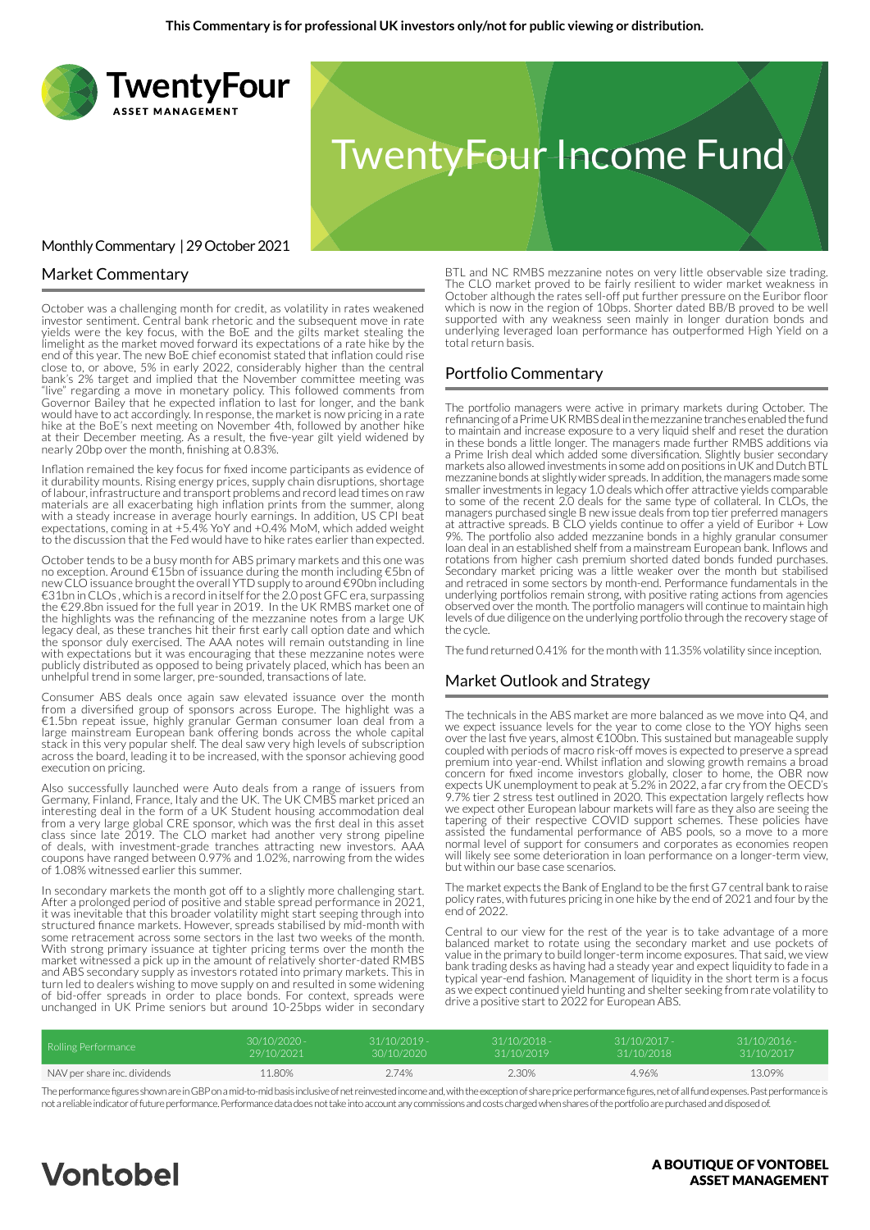

### Market Commentary

October was a challenging month for credit, as volatility in rates weakened investor sentiment. Central bank rhetoric and the subsequent move in rate yields were the key focus, with the BoE and the gilts market stealing the limelight as the market moved forward its expectations of a rate hike by the end of this year. The new BoE chief economist stated that inflation could rise close to, or above, 5% in early 2022, considerably higher than the central bank's 2% target and implied that the November committee meeting was "live" regarding a move in monetary policy. This followed comments from Governor Bailey that he expected inflation to last for longer, and the bank would have to act accordingly. In response, the market is now pricing in a rate hike at the BoE's next meeting on November 4th, followed by another hike at their December meeting. As a result, the five-year gilt yield widened by nearly 20bp over the month, finishing at 0.83%.

Inflation remained the key focus for fixed income participants as evidence of it durability mounts. Rising energy prices, supply chain disruptions, shortage of labour, infrastructure and transport problems and record lead times on raw materials are all exacerbating high inflation prints from the summer, along with a steady increase in average hourly earnings. In addition, US CPI beat expectations, coming in at +5.4% YoY and +0.4% MoM, which added weight to the discussion that the Fed would have to hike rates earlier than expected.

October tends to be a busy month for ABS primary markets and this one was no exception. Around €15bn of issuance during the month including €5bn of new CLO issuance brought the overall YTD supply to around €90bn including €31bn in CLOs , which is a record in itself for the 2.0 post GFC era, surpassing the €29.8bn issued for the full year in 2019. In the UK RMBS market one of the highlights was the refinancing of the mezzanine notes from a large UK legacy deal, as these tranches hit their first early call option date and which the sponsor duly exercised. The AAA notes will remain outstanding in line with expectations but it was encouraging that these mezzanine notes were publicly distributed as opposed to being privately placed, which has been an unhelpful trend in some larger, pre-sounded, transactions of late.

Consumer ABS deals once again saw elevated issuance over the month from a diversified group of sponsors across Europe. The highlight was a €1.5bn repeat issue, highly granular German consumer loan deal from a large mainstream European bank offering bonds across the whole capital stack in this very popular shelf. The deal saw very high levels of subscription across the board, leading it to be increased, with the sponsor achieving good execution on pricing.

Also successfully launched were Auto deals from a range of issuers from Germany, Finland, France, Italy and the UK. The UK CMBS market priced an interesting deal in the form of a UK Student housing accommodation deal from a very large global CRE sponsor, which was the first deal in this asset class since late 2019. The CLO market had another very strong pipeline of deals, with investment-grade tranches attracting new investors. AAA coupons have ranged between 0.97% and 1.02%, narrowing from the wides of 1.08% witnessed earlier this summer.

In secondary markets the month got off to a slightly more challenging start. After a prolonged period of positive and stable spread performance in 2021, it was inevitable that this broader volatility might start seeping through into structured finance markets. However, spreads stabilised by mid-month with some retracement across some sectors in the last two weeks of the month. With strong primary issuance at tighter pricing terms over the month the market witnessed a pick up in the amount of relatively shorter-dated RMBS and ABS secondary supply as investors rotated into primary markets. This in turn led to dealers wishing to move supply on and resulted in some widening of bid-offer spreads in order to place bonds. For context, spreads were unchanged in UK Prime seniors but around 10-25bps wider in secondary

BTL and NC RMBS mezzanine notes on very little observable size trading. The CLO market proved to be fairly resilient to wider market weakness in October although the rates sell-off put further pressure on the Euribor floor which is now in the region of 10bps. Shorter dated BB/B proved to be well supported with any weakness seen mainly in longer duration bonds and underlying leveraged loan performance has outperformed High Yield on a total return basis.

#### Portfolio Commentary

The portfolio managers were active in primary markets during October. The refinancing of a Prime UK RMBS deal in the mezzanine tranches enabled the fund to maintain and increase exposure to a very liquid shelf and reset the duration in these bonds a little longer. The managers made further RMBS additions via a Prime Irish deal which added some diversification. Slightly busier secondary markets also allowed investments in some add on positions in UK and Dutch BTL mezzanine bonds at slightly wider spreads. In addition, the managers made some smaller investments in legacy 1.0 deals which offer attractive yields comparable to some of the recent 2.0 deals for the same type of collateral. In CLOs, the managers purchased single B new issue deals from top tier preferred managers at attractive spreads. B CLO yields continue to offer a yield of Euribor + Low 9%. The portfolio also added mezzanine bonds in a highly granular consumer loan deal in an established shelf from a mainstream European bank. Inflows and rotations from higher cash premium shorted dated bonds funded purchases. Secondary market pricing was a little weaker over the month but stabilised and retraced in some sectors by month-end. Performance fundamentals in the underlying portfolios remain strong, with positive rating actions from agencies observed over the month. The portfolio managers will continue to maintain high levels of due diligence on the underlying portfolio through the recovery stage of the cycle.

The fund returned 0.41% for the month with 11.35% volatility since inception.

#### Market Outlook and Strategy

The technicals in the ABS market are more balanced as we move into Q4, and we expect issuance levels for the year to come close to the YOY highs seen over the last five years, almost €100bn. This sustained but manageable supply coupled with periods of macro risk-off moves is expected to preserve a spread premium into year-end. Whilst inflation and slowing growth remains a broad concern for fixed income investors globally, closer to home, the OBR now expects UK unemployment to peak at 5.2% in 2022, a far cry from the OECD's 9.7% tier 2 stress test outlined in 2020. This expectation largely reflects how we expect other European labour markets will fare as they also are seeing the tapering of their respective COVID support schemes. These policies have assisted the fundamental performance of ABS pools, so a move to a more normal level of support for consumers and corporates as economies reopen will likely see some deterioration in loan performance on a longer-term view, but within our base case scenarios.

The market expects the Bank of England to be the first G7 central bank to raise policy rates, with futures pricing in one hike by the end of 2021 and four by the end of 2022.

Central to our view for the rest of the year is to take advantage of a more balanced market to rotate using the secondary market and use pockets of value in the primary to build longer-term income exposures. That said, we view bank trading desks as having had a steady year and expect liquidity to fade in a typical year-end fashion. Management of liquidity in the short term is a focus as we expect continued yield hunting and shelter seeking from rate volatility to drive a positive start to 2022 for European ABS.

| Rolling Performance          | 30/10/2020 - | $31/10/2019 -$ | $31/10/2018 -$ | $31/10/2017 -$ | $31/10/2016$ - |
|------------------------------|--------------|----------------|----------------|----------------|----------------|
|                              | 29/10/2021   | 30/10/2020     | 31/10/2019     | 31/10/2018     | 31/10/2017     |
| NAV per share inc. dividends | 11.80%       | 2.74%          | 2.30%          | 4.96%          | 13.09%         |

The performance figures shown are in GBP on a mid-to-mid basis inclusive of net reinvested income and, with the exception of share price performance figures, net of all fund expenses. Past performance is not a reliable indicator of future performance. Performance data does not take into account any commissions and costs charged when shares of the portfolio are purchased and disposed of.

# **Vontobel**

#### A BOUTIQUE OF VONTOBEL **ASSET MANAGEMENT**